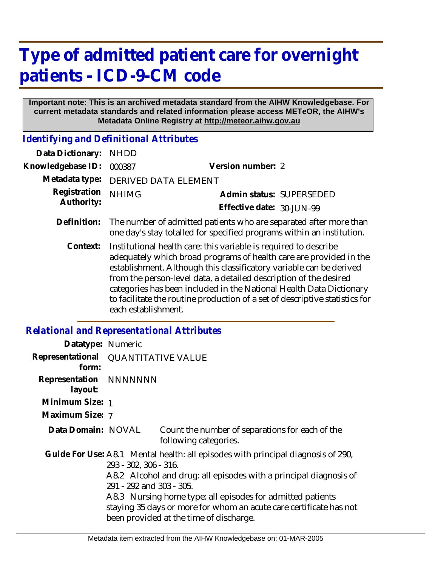## **Type of admitted patient care for overnight patients - ICD-9-CM code**

## **Important note: This is an archived metadata standard from the AIHW Knowledgebase. For current metadata standards and related information please access METeOR, the AIHW's Metadata Online Registry at http://meteor.aihw.gov.au**

*Identifying and Definitional Attributes*

| Data Dictionary:           | <b>NHDD</b>                                                                                                                                                                                                                                                                                                                                                                                                                                                     |                           |                          |
|----------------------------|-----------------------------------------------------------------------------------------------------------------------------------------------------------------------------------------------------------------------------------------------------------------------------------------------------------------------------------------------------------------------------------------------------------------------------------------------------------------|---------------------------|--------------------------|
| Knowledgebase ID:          | 000387                                                                                                                                                                                                                                                                                                                                                                                                                                                          | Version number: 2         |                          |
| Metadata type:             | <b>DERIVED DATA ELEMENT</b>                                                                                                                                                                                                                                                                                                                                                                                                                                     |                           |                          |
| Registration<br>Authority: | <b>NHIMG</b>                                                                                                                                                                                                                                                                                                                                                                                                                                                    |                           | Admin status: SUPERSEDED |
|                            |                                                                                                                                                                                                                                                                                                                                                                                                                                                                 | Effective date: 30-JUN-99 |                          |
| Definition:                | The number of admitted patients who are separated after more than<br>one day's stay totalled for specified programs within an institution.                                                                                                                                                                                                                                                                                                                      |                           |                          |
| Context:                   | Institutional health care: this variable is required to describe<br>adequately which broad programs of health care are provided in the<br>establishment. Although this classificatory variable can be derived<br>from the person-level data, a detailed description of the desired<br>categories has been included in the National Health Data Dictionary<br>to facilitate the routine production of a set of descriptive statistics for<br>each establishment. |                           |                          |

## *Relational and Representational Attributes*

| Datatype: Numeric                              |                                                                                               |                                                                                                                                                                             |  |  |
|------------------------------------------------|-----------------------------------------------------------------------------------------------|-----------------------------------------------------------------------------------------------------------------------------------------------------------------------------|--|--|
| Representational   QUANTITATIVE VALUE<br>form: |                                                                                               |                                                                                                                                                                             |  |  |
| Representation NNNNNNN<br>layout:              |                                                                                               |                                                                                                                                                                             |  |  |
| Minimum Size: 1                                |                                                                                               |                                                                                                                                                                             |  |  |
| Maximum Size: 7                                |                                                                                               |                                                                                                                                                                             |  |  |
| Data Domain: NOVAL                             |                                                                                               | Count the number of separations for each of the<br>following categories.                                                                                                    |  |  |
|                                                | 293 - 302, 306 - 316.                                                                         | Guide For Use: A8.1 Mental health: all episodes with principal diagnosis of 290,                                                                                            |  |  |
|                                                | A8.2 Alcohol and drug: all episodes with a principal diagnosis of<br>291 - 292 and 303 - 305. |                                                                                                                                                                             |  |  |
|                                                |                                                                                               | A8.3 Nursing home type: all episodes for admitted patients<br>staying 35 days or more for whom an acute care certificate has not<br>been provided at the time of discharge. |  |  |